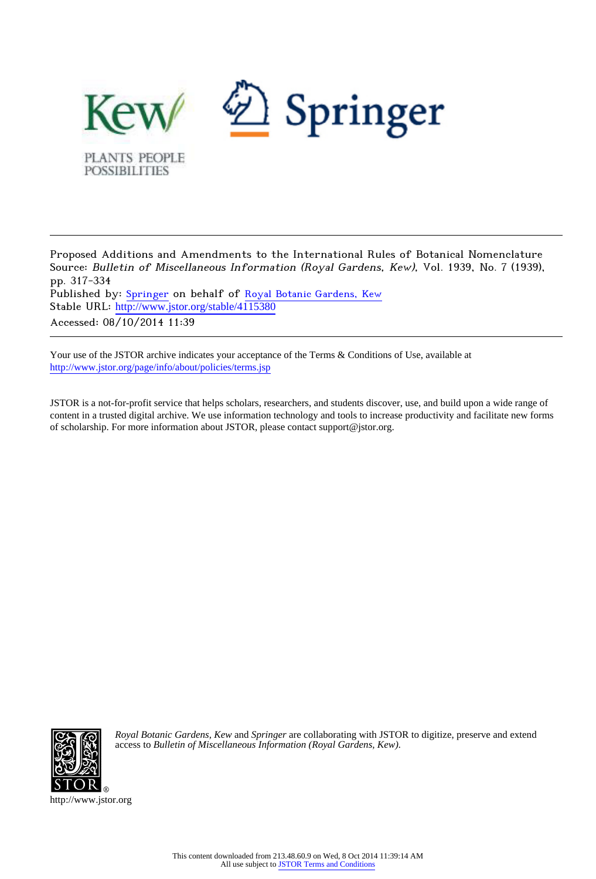

Proposed Additions and Amendments to the International Rules of Botanical Nomenclature Source: Bulletin of Miscellaneous Information (Royal Gardens, Kew), Vol. 1939, No. 7 (1939), pp. 317-334 Published by: [Springer](http://www.jstor.org/action/showPublisher?publisherCode=springer) on behalf of [Royal Botanic Gardens, Kew](http://www.jstor.org/action/showPublisher?publisherCode=kew) Stable URL: [http://www.jstor.org/stable/4115380](http://www.jstor.org/stable/4115380?origin=JSTOR-pdf) Accessed: 08/10/2014 11:39

Your use of the JSTOR archive indicates your acceptance of the Terms & Conditions of Use, available at <http://www.jstor.org/page/info/about/policies/terms.jsp>

JSTOR is a not-for-profit service that helps scholars, researchers, and students discover, use, and build upon a wide range of content in a trusted digital archive. We use information technology and tools to increase productivity and facilitate new forms of scholarship. For more information about JSTOR, please contact support@jstor.org.



*Royal Botanic Gardens, Kew* and *Springer* are collaborating with JSTOR to digitize, preserve and extend access to *Bulletin of Miscellaneous Information (Royal Gardens, Kew).*

http://www.jstor.org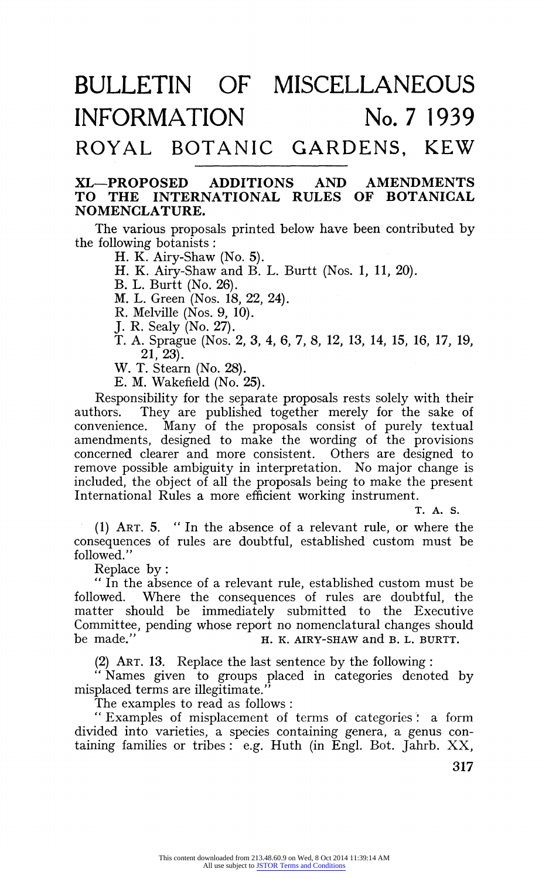# **BULLETIN OF MISCELLANEOUS INFORMATION** No. 7 1939

# **ROYAL BOTANIC GARDENS, KEW**

## **XL-PROPOSED ADDITIONS AND AMENDMENTS TO THE INTERNATIONAL RULES OF BOTANICAL NOMENCLATURE.**

**The various proposals printed below have been contributed by the following botanists:** 

**H. K. Airy-Shaw (No. 5).** 

- **H. K. Airy-Shaw and B. L. Burtt (Nos. 1, 11, 20).**
- **B. L. Burtt (No. 26).**
- **M. L. Green (Nos. 18, 22, 24).**

**R. Melville (Nos. 9, 10).** 

- **J. R. Sealy (No. 27).**
- **T. A. Sprague (Nos. 2, 3, 4, 6, 7, 8, 12, 13, 14, 15, 16, 17, 19, 21, 23).**

**W. T. Stearn (No. 28).** 

**E. M. Wakefield (No. 25).** 

**Responsibility for the separate proposals rests solely with their**  They are published together merely for the sake of **convenience. Many of the proposals consist of purely textual amendments, designed to make the wording of the provisions concerned clearer and more consistent. Others are designed to remove possible ambiguity in interpretation. No major change is included, the object of all the proposals being to make the present International Rules a more efficient working instrument.** 

**T. A. S.** 

**(1) ART. 5. " In the absence of a relevant rule, or where the consequences of rules are doubtful, established custom must be followed."** 

**Replace by:** 

**" In the absence of a relevant rule, established custom must be followed. Where the consequences of rules are doubtful, the matter should be immediately submitted to the Executive Committee, pending whose report no nomenclatural changes should be made." H. K. AIRY-SHAw and B. L. BURTT.** 

**(2) ART. 13. Replace the last sentence by the following:** 

**" Names given to groups placed in categories denoted by misplaced terms are illegitimate."** 

**The examples to read as follows:** 

**" Examples of misplacement of terms of categories': a form divided into varieties, a species containing genera, a genus containing families or tribes: e.g. Huth (in Engl. Bot. Jahrb. XX,**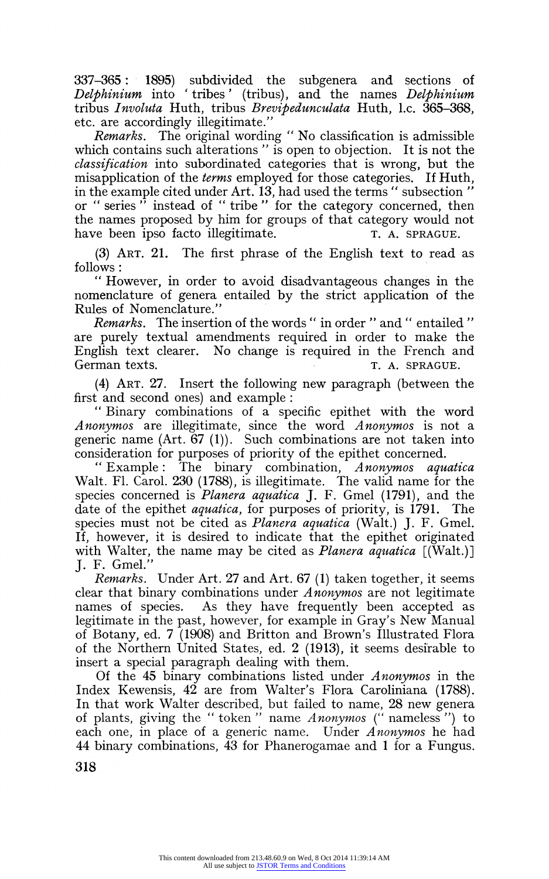**337-365: 1895) subdivided the subgenera and sections of Delphinium into 'tribes' (tribus), and the names Delphinium tribus Involuta Huth, tribus Brevipedunculata Huth, l.c. 365-368, etc. are accordingly illegitimate."** 

**Remarks. The original wording " No classification is admissible which contains such alterations " is open to objection. It is not the classification into subordinated categories that is wrong, but the misapplication of the terms employed for those categories. If Huth, in the example cited under Art. 13, had used the terms " subsection " or " series " instead of " tribe " for the category concerned, then the names proposed by him for groups of that category would not**  have been ipso facto illegitimate.

**(3) ART. 21. The first phrase of the English text to read as follows :** 

**" However, in order to avoid disadvantageous changes in the nomenclature of genera entailed by the strict application of the Rules of Nomenclature."** 

**Remarks. The insertion of the words " in order " and " entailed" are purely textual amendments required in order to make the English text clearer. No change is required in the French and T. A. SPRAGUE.** 

**(4) ART. 27. Insert the following new paragraph (between the first and second ones) and example:** 

**" Binary combinations of a specific epithet with the word Anonymos are illegitimate, since the word Anonymos is not a generic name (Art. 67 (1)). Such combinations are not taken into consideration for purposes of priority of the epithet concerned.** 

**" Example : The binary combination, Anonymos aquatica Walt. Fl. Carol. 230 (1788), is illegitimate. The valid name for the species concerned is Planera aquatica J. F. Gmel (1791), and the**  date of the epithet *aquatica*, for purposes of priority, is 1791. **species must not be cited as Planera aquatica (Walt.) J. F. Gmel. If, however, it is desired to indicate that the epithet originated with Walter, the name may be cited as Planera aquatica [(Walt.)] J. F. Gmel."** 

**Remarks. Under Art. 27 and Art. 67 (1) taken together, it seems clear that binary combinations under Anonymos are not legitimate names of species. As they have frequently been accepted as legitimate in the past, however, for example in Gray's New Manual of Botany, ed. 7 (1908) and Britton and Brown's Illustrated Flora of the Northern United States, ed. 2 (1913), it seems desirable to insert a special paragraph dealing with them.** 

**Of the 45 binary combinations listed under Anonymos in the Index Kewensis, 42 are from Walter's Flora Caroliniana (1788). In that work Walter described, but failed to name, 28 new genera of plants, giving the " token " name Anonymos (" nameless ") to each one, in place of a generic name. Under Anonymos he had 44 binary combinations, 43 for Phanerogamae and 1 for a Fungus.**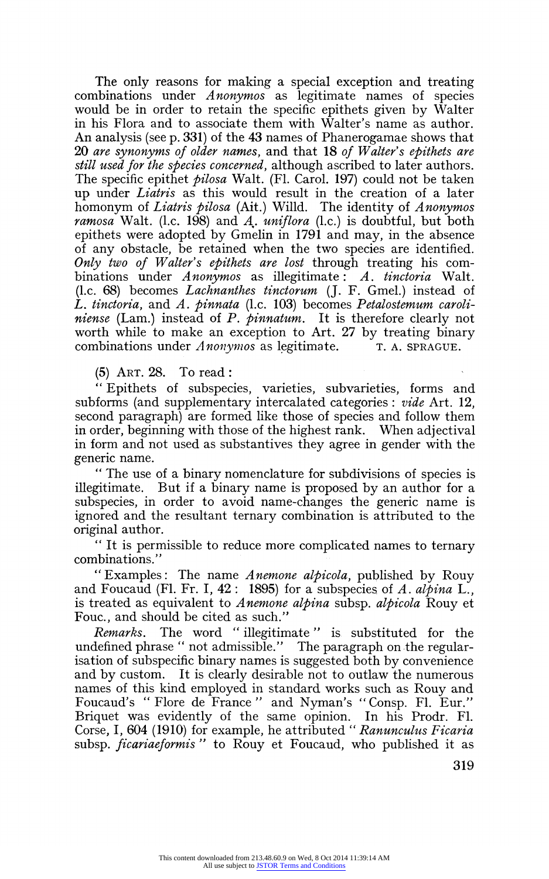**The only reasons for making a special exception and treating combinations under Anonymos as legitimate names of species would be in order to retain the specific epithets given by Walter in his Flora and to associate them with Walter's name as author. An analysis (see p. 331) of the 43 names of Phanerogamae shows that 20 are synonyms of older names, and that 18 of Walter's epithets are still used for the species concerned, although ascribed to later authors. The specific epithet pilosa Walt. (Fl. Carol. 197) could not be taken up under Liatris as this would result in the creation of a later homonym of Liatris pilosa (Ait.) Willd. The identity of Anonymos ramosa Walt. (l.c. 198) and A. uniflora (l.c.) is doubtful, but both epithets were adopted by Gmelin in 1791 and may, in the absence of any obstacle, be retained when the two species are identified. Only two of Walter's epithets are lost through treating his combinations under Anonymos as illegitimate: A. tinctoria Walt. (l.c. 68) becomes Lachnanthes tinctorum (J. F. Gmel.) instead of L. tinctoria, and A. pinnata (l.c. 103) becomes Petalostemum caroliniense (Lam.) instead of P. pinnatum. It is therefore clearly not**  worth while to make an exception to Art. 27 by treating binary combinations under *Anonymos* as legitimate. T. A. SPRAGUE. **combinations under Anonymos as legitimate.** 

**(5) ART. 28. To read:** 

**" Epithets of subspecies, varieties, subvarieties, forms and subforms (and supplementary intercalated categories: vide Art. 12, second paragraph) are formed like those of species and follow them in order, beginning with those of the highest rank. When adjectival in form and not used as substantives they agree in gender with the generic name.** 

**" The use of a binary nomenclature for subdivisions of species is illegitimate. But if a binary name is proposed by an author for a subspecies, in order to avoid name-changes the generic name is ignored and the resultant ternary combination is attributed to the original author.** 

**" It is permissible to reduce more complicated names to ternary combinations."** 

**"Examples: The name Anemone alpicola, published by Rouy and Foucaud (Fl. Fr. I, 42: 1895) for a subspecies of A. alpina L., is treated as equivalent to Anemone alpina subsp. alpicola Rouy et Fouc., and should be cited as such."** 

**Remarks. The word " illegitimate" is substituted for the undefined phrase " not admissible." The paragraph on the regularisation of subspecific binary names is suggested both by convenience and by custom. It is clearly desirable not to outlaw the numerous names of this kind employed in standard works such as Rouy and Foucaud's " Flore de France " and Nyman's "Consp. Fl. Eur." Briquet was evidently of the same opinion. In his Prodr. Fl. Corse, I, 604 (1910) for example, he attributed " Ranunculus Ficaria subsp. ficariaeformis " to Rouy et Foucaud, who published it as**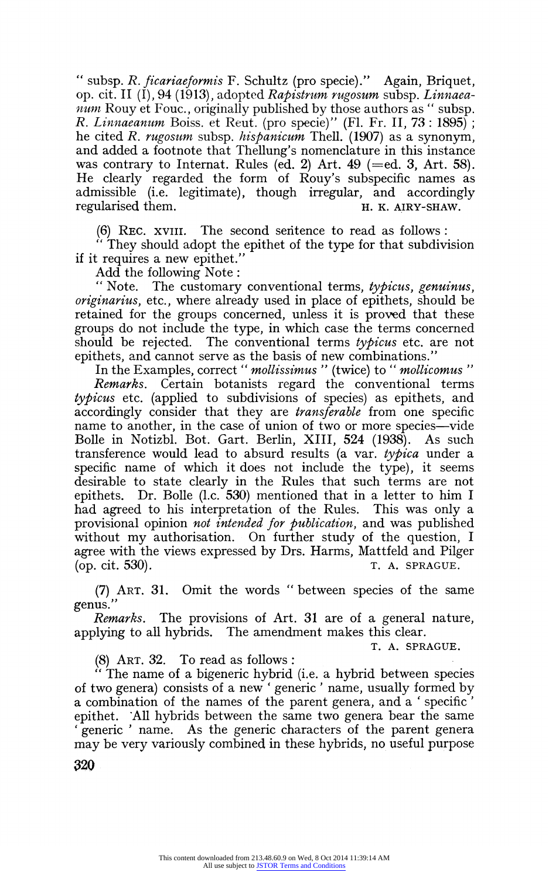**" subsp. R. ficariaeformis F. Schultz (pro specie)." Again, Briquet, op. cit. II (I), 94 (1913), adopted Rapistrum rugosum subsp. Linnaeanumn Rouy et Fouc., originally published by those authors as " subsp. R. Linnaeanum Boiss. et Reut. (pro specie)" (Fl. Fr. II, 73: 1895) ; he cited R. rugosum subsp. hispanicum Thell. (1907) as a synonym, and added a footnote that Thellung's nomenclature in this instance was contrary to Internat. Rules (ed. 2) Art. 49 (=ed. 3, Art. 58). He clearly regarded the form of Rouy's subspecific names as admissible (i.e. legitimate), though irregular, and accordingly regularised them. H. K. AIRY-SHAW.** 

**(6) REC. XVIII. The second seritence to read as follows:** 

**" They should adopt the epithet of the type for that subdivision if it requires a new epithet."** 

**Add the following Note:** 

**" Note. The customary conventional terms, typicus, genuinus, originarius, etc., where already used in place of epithets, should be retained for the groups concerned, unless it is proved that these groups do not include the type, in which case the terms concerned should be rejected. The conventional terms typicus etc. are not epithets, and cannot serve as the basis of new combinations."** 

**In the Examples, correct " mollissimus " (twice) to " mollicomus "** 

**Remarks. Certain botanists regard the conventional terms typicus etc. (applied to subdivisions of species) as epithets, and accordingly consider that they are transferable from one specific name to another, in the case of union of two or more species-vide Bolle in Notizbl. Bot. Gart. Berlin, XIII, 524 (1938). As such transference would lead to absurd results (a var. typica under a specific name of which it does not include the type), it seems desirable to state clearly in the Rules that such terms are not epithets. Dr. Bolle (l.c. 530) mentioned that in a letter to him I had agreed to his interpretation of the Rules. This was only a provisional opinion not intended for publication, and was published without my authorisation. On further study of the question, I agree with the views expressed by Drs. Harms, Mattfeld and Pilger (op. cit. 530). T. A. SPRAGUE.** 

**(7) ART. 31. Omit the words " between species of the same genus."** 

**Remarks. The provisions of Art. 31 are of a general nature, applying to all hybrids. The amendment makes this clear.** 

**T. A. SPRAGUE.** 

**(8) ART. 32. To read as follows:** 

**" The name of a bigeneric hybrid (i.e. a hybrid between species of two genera) consists of a new ' generic ' name, usually formed by a combination of the names of the parent genera, and a ' specific' epithet. 'All hybrids between the same two genera bear the same 'generic ' name. As the generic characters of the parent genera may be very variously combined in these hybrids, no useful purpose** 

**~320**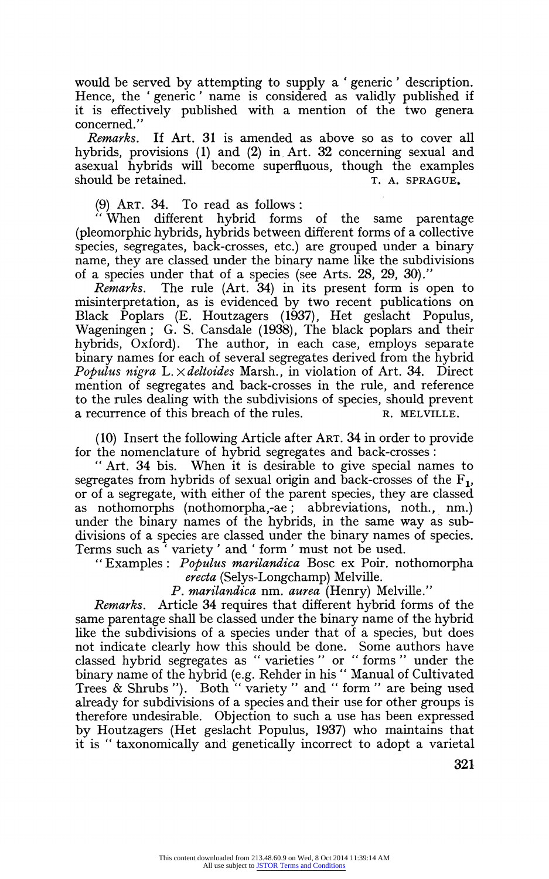**would be served by attempting to supply a 'generic' description. Hence, the 'generic' name is considered as validly published if it is effectively published with a mention of the two genera concerned."** 

**Remarks. If Art. 31 is amended as above so as to cover all hybrids, provisions (1) and (2) in Art. 32 concerning sexual and asexual hybrids will become superfluous, though the examples**   $\mathbf{F}$  should be retained.

**(9) ART. 34. To read as follows:** 

When different hybrid forms of the same parentage **(pleomorphic hybrids, hybrids between different forms of a collective species, segregates, back-crosses, etc.) are grouped under a binary name, they are classed under the binary name like the subdivisions** 

**of a species under that of a species (see Arts. 28, 29, 30)."**  The rule (Art. 34) in its present form is open to **misinterpretation, as is evidenced by two recent publications on Black Poplars (E. Houtzagers (1937), Het geslacht Populus, Wageningen; G. S. Cansdale (1938), The black poplars and their**  The author, in each case, employs separate **binary names for each of several segregates derived from the hybrid Populus nigra L. x deltoides Marsh., in violation of Art. 34. Direct mention of segregates and back-crosses in the rule, and reference to the rules dealing with the subdivisions of species, should prevent a** recurrence of this breach of the rules.

**(10) Insert the following Article after ART. 34 in order to provide for the nomenclature of hybrid segregates and back-crosses:** 

**" Art. 34 bis. When it is desirable to give special names to segregates from hybrids of sexual origin and back-crosses of the F1, or of a segregate, with either of the parent species, they are classed as nothomorphs (nothomorpha,-ae; abbreviations, noth., nm.) under the binary names of the hybrids, in the same way as subdivisions of a species are classed under the binary names of species. Terms such as 'variety' and 'form' must not be used.** 

**"Examples: Populus marilandica Bosc ex Poir. nothomorpha** 

**erecta (Selys-Longchamp) Melville.** 

**P. marilandica nm. aurea (Henry) Melville."** 

**Remarks. Article 34 requires that different hybrid forms of the same parentage shall be classed under the binary name of the hybrid like the subdivisions of a species under that of a species, but does not indicate clearly how this should be done. Some authors have classed hybrid segregates as " varieties " or " forms " under the binary name of the hybrid (e.g. Rehder in his " Manual of Cultivated Trees & Shrubs "). Both " variety " and " form " are being used already for subdivisions of a species and their use for other groups is therefore undesirable. Objection to such a use has been expressed by Houtzagers (Het geslacht Populus, 1937) who maintains that it is " taxonomically and genetically incorrect to adopt a varietal**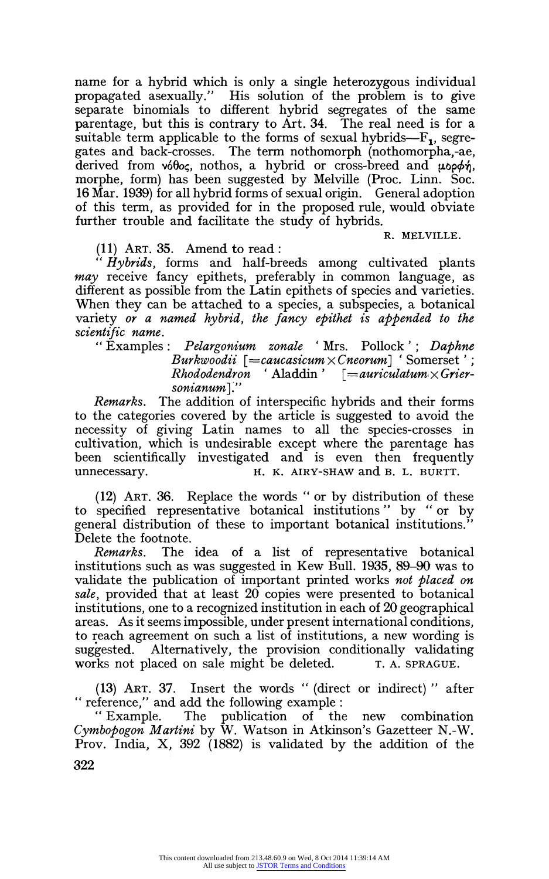**name for a hybrid which is only a single heterozygous individual propagated asexually." His solution of the problem is to give separate binomials to different hybrid segregates of the same parentage, but this is contrary to Art. 34. The real need is for a**  suitable term applicable to the forms of sexual hybrids—F<sub>1</sub>, segre**gates and back-crosses. The term nothomorph (nothomorpha,-ae,**  derived from νόθος, nothos, a hybrid or cross-breed and μορφή, **morphe, form) has been suggested by Melville (Proc. Linn. Soc. 16 Mar. 1939) for all hybrid forms of sexual origin. General adoption of this term, as provided for in the proposed rule, would obviate further trouble and facilitate the study of hybrids.** 

**R. MELVILLE.** 

**(11) ART. 35. Amend to read:** 

**" Hybrids, forms and half-breeds among cultivated plants may receive fancy epithets, preferably in common language, as different as possible from the Latin epithets of species and varieties. When they can be attached to a species, a subspecies, a botanical variety or a named hybrid, the fancy epithet is appended to the scientific name.** 

**"Examples: Pelargonium zonale 'Mrs. Pollock'; Daphne Burkwoodii [=•caucasicum X Cneorum] ' Somerset ' ;**  Rhododendron 'Aladdin' [=auriculatum × Grier**sonianum]."** 

**Remarks. The addition of interspecific hybrids and their forms to the categories covered by the article is suggested to avoid the necessity of giving Latin names to all the species-crosses in cultivation, which is undesirable except where the parentage has**  been scientifically investigated and is even then frequently unnecessary. **H. K. AIRY-SHAW** and B. L. BURTT. **unnecessary. H. K. AIRY-SHAw and B. L. BURTT.** 

**(12) ART. 36. Replace the words " or by distribution of these to specified representative botanical institutions" by " or by general distribution of these to important botanical institutions." Delete the footnote.** 

**Remarks. The idea of a list of representative botanical institutions such as was suggested in Kew Bull. 1935, 89-90 was to validate the publication of important printed works not placed on sale, provided that at least 20 copies were presented to botanical institutions, one to a recognized institution in each of 20 geographical areas. As it seems impossible, under present international conditions, to reach agreement on such a list of institutions, a new wording is suggested. Alternatively, the provision conditionally validating**  works not placed on sale might be deleted.

**(13) ART. 37. Insert the words " (direct or indirect) " after " reference," and add the following example:** 

The publication of the new combination **Cymbopogon Martini by W. Watson in Atkinson's Gazetteer N.-W. Prov. India, X, 392 (1882) is validated by the addition of the 322**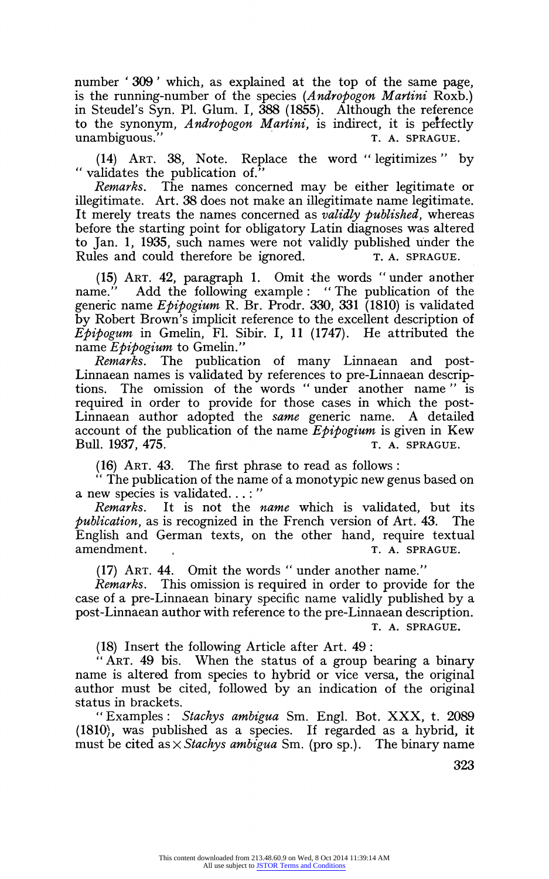**number '309' which, as explained at the top of the same page, is the running-number of the species (Andropogon Martini Roxb.) in Steudel's Syn. P1. Glum. I, 388 (1855). Although the reference**  to the synonym, *Andropogon Martini*, is indirect, it is perfectly unambiguous."<br>
T. A. SPRAGUE. **unambiguous." T. A. SPRAGUE.** 

**(14) ART. 38, Note. Replace the word "legitimizes" by " validates the publication of."** 

**Remarks. The names concerned may be either legitimate or illegitimate. Art. 38 does not make an illegitimate name legitimate. It merely treats the names concerned as validly published, whereas before the starting point for obligatory Latin diagnoses was altered to Jan. 1, 1935, such names were not validly published under the**  Rules and could therefore be ignored.

(15) ART. 42, paragraph 1. Omit the words "under another **name." Add the following example: " The publication of the generic name Epipogium R. Br. Prodr. 3,30, 331 (1810) is validated by Robert Brown's implicit reference to the excellent description of Epipogum in Gmelin, Fl. Sibir. I, 11 (1747). He attributed the name Epipogium to Gmelin."** 

**Remarks. The publication of many Linnaean and post-Linnaean names is validated by references to pre-Linnaean descriptions. The omission of the words " under another name " is required in order to provide for those cases in which the post-Linnaean author adopted the same generic name. A detailed account of the publication of the name Epipogium is given in Kew Bull. 1937, 475. T. A. SPRAGUE.** 

**(16) ART. 43. The first phrase to read as follows:** 

**" The publication of the name of a monotypic new genus based on a new species is validated...:"** 

**Remarks. It is not the name which is validated, but its**  publication, as is recognized in the French version of Art. 43. **English and German texts, on the other hand, require textual amendment. . T. A. SPRAGUE.** 

**(17) ART. 44. Omit the words " under another name."** 

**Remarks. This omission is required in order to provide for the case of a pre-Linnaean binary specific name validly published by a post-Linnaean author with reference to the pre-Linnaean description. T. A. SPRAGUE.** 

**(18) Insert the following Article after Art. 49:** 

**" ART. 49 bis. When the status of a group bearing a binary name is altered from species to hybrid or vice versa, the original author must be cited, followed by an indication of the original status in brackets.** 

**"Examples: Stachys ambigua Sm. Engl. Bot. XXX, t. 2089 (1810), was published as a species. If regarded as a hybrid, it**  must be cited as  $\times$  *Stachys ambigua* Sm. (pro sp.). The binary name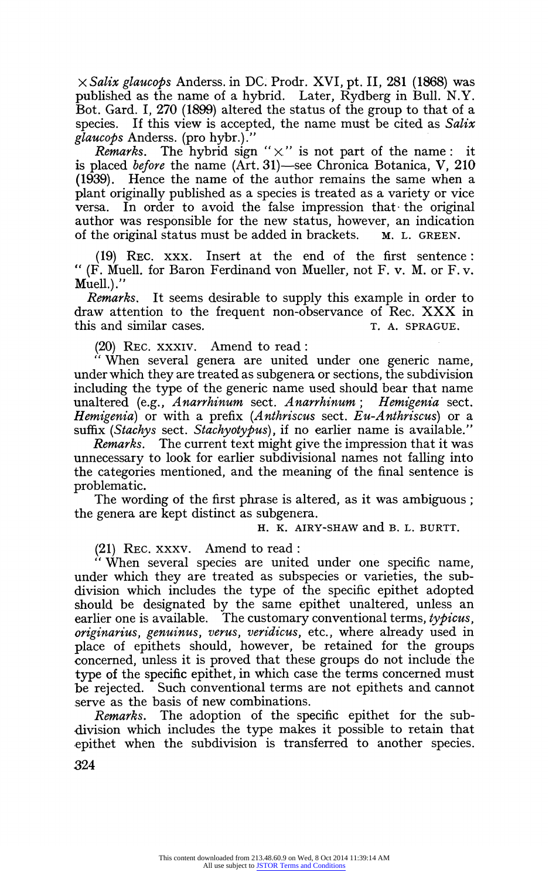**x Salix glaucops Anderss. in DC. Prodr. XVI, pt. II, 281 (1868) was published as the name of a hybrid. Later, Rydberg in Bull. N.Y. Bot. Gard. I, 270 (1899) altered the status of the group to that of a species. If this view is accepted, the name must be cited as Salix glaucops Anderss. (pro hybr.)."** 

**Remarks. The hybrid sign "x" is not part of the name: it**  is placed *before* the name (Art. 31)—see Chronica Botanica, V, 210 **(1939). Hence the name of the author remains the same when a plant originally published as a species is treated as a variety or vice versa. In order to avoid the false impression that- the original author was responsible for the new status, however, an indication of the original status must be added in brackets.** 

**(19) REc. xxx. Insert at the end of the first sentence: " (F. Muell. for Baron Ferdinand von Mueller, not F. v. M. or F. v. Muell.)."** 

**Remarks. It seems desirable to supply this example in order to draw attention to the frequent non-observance of Rec. XXX in**   $t$ his and similar cases.

**(20) REC. XXXiv. Amend to read:** 

**" When several genera are united under one generic name, under which they are treated as subgenera or sections, the subdivision including the type of the generic name used should bear that name unaltered (e.g., Anarrhinum sect. Anarrhinum; Hemigenia sect. Hemigenia) or with a prefix (Anthriscus sect. Eu-Anthriscus) or a suffix (Stachys sect. Stachyotypus), if no earlier name is available."** 

**Remarks. The current text might give the impression that it was unnecessary to look for earlier subdivisional names not falling into the categories mentioned, and the meaning of the final sentence is problematic.** 

**The wording of the first phrase is altered, as it was ambiguous; the genera are kept distinct as subgenera.** 

**H. K. AIRY-SHAW and B. L. BURTT.** 

**(21) REC. xxxv. Amend to read:** 

**" When several species are united under one specific name, under which they are treated as subspecies or varieties, the subdivision which includes the type of the specific epithet adopted should be designated by the same epithet unaltered, unless an earlier one is available. The customary conventional terms, typicus, originarius, genuinus, verus, veridicus, etc., where already used in place of epithets should, however, be retained for the groups concerned, unless it is proved that these groups do not include the type of the specific epithet, in which case the terms concerned must be rejected. Such conventional terms are not epithets and cannot serve as the basis of new combinations.** 

**Remarks. The adoption of the specific epithet for the subdivision which includes the type makes it possible to retain that epithet when the subdivision is transferred to another species.**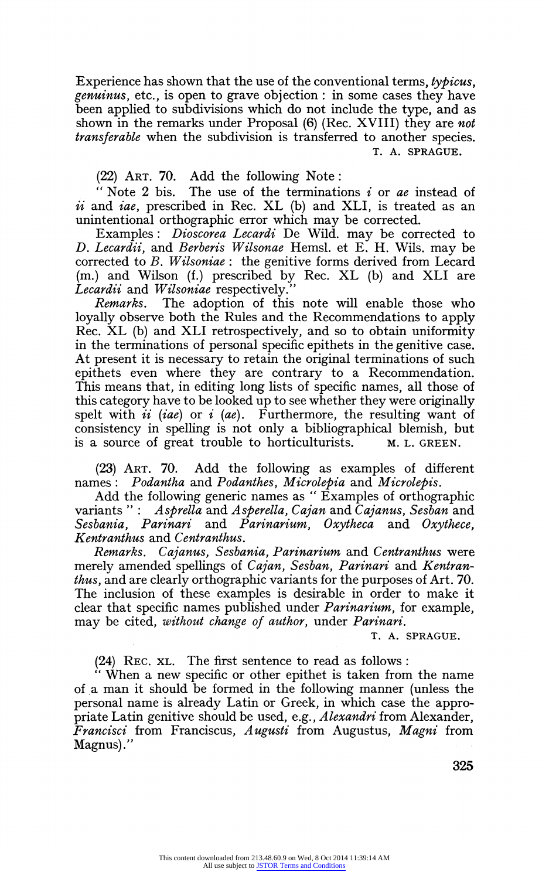**Experience has shown that the use of the conventional terms, typicus, genuinus, etc., is open to grave objection: in some cases they have been applied to subdivisions which do not include the type, and as shown in the remarks under Proposal (6) (Rec. XVIII) they are not transferable when the subdivision is transferred to another species. T. A. SPRAGUE.** 

**(22) ART. 70. Add the following Note:** 

**" Note 2 bis. The use of the terminations i or ae instead of ii and iae, prescribed in Rec. XL (b) and XLI, is treated as an unintentional orthographic error which may be corrected.** 

**Examples: Dioscorea Lecardi De Wild. may be corrected to D. Lecardii, and Berberis Wilsonae Hemsl. et E. H. Wils. may be corrected to B. Wilsoniae: the genitive forms derived from Lecard (m.) and Wilson (f.) prescribed by Rec. XL (b) and XLI are Lecardii and Wilsoniae respectively."** 

The adoption of this note will enable those who **loyally observe both the Rules and the Recommendations to apply Rec. XL (b) and XLI retrospectively, and so to obtain uniformity in the terminations of personal specific epithets in the genitive case. At present it is necessary to retain the original terminations of such epithets even where they are contrary to a Recommendation. This means that, in editing long lists of specific names, all those of this category have to be looked up to see whether they were originally spelt with ii (iae) or i (ae). Furthermore, the resulting want of consistency in spelling is not only a bibliographical blemish, but is a source of great trouble to horticulturists. M. L. GREEN.** 

**(23) ART. 70. Add the following as examples of different names: Podantha and Podanthes, Microlepia and Microlepis.** 

**Add the following generic names as " Examples of orthographic variants " : Asprella and Asperella, Cajan and Cajanus, Sesban and Sesbania, Parinari and Parinarium, Oxytheca and Oxythece, Kentranthus and Centranthus.** 

**Remarks. Cajanus, Sesbania, Parinarium and Centranthus were merely amended spellings of Cajan, Sesban, Parinari and Kentranthus, and are clearly orthographic variants for the purposes of Art. 70. The inclusion of these examples is desirable in order to make it clear that specific names published under Parinarium, for example, may be cited, without change of author, under Parinari.** 

**T. A. SPRAGUE.** 

**(24) REC. XL. The first sentence to read as follows:** 

**" When a new specific or other epithet is taken from the name of a man it should be formed in the following manner (unless the personal name is already Latin or Greek, in which case the appropriate Latin genitive should be used, e.g., Alexandri from Alexander, Francisci from Franciscus, Augusti from Augustus, Magni from Magnus)."**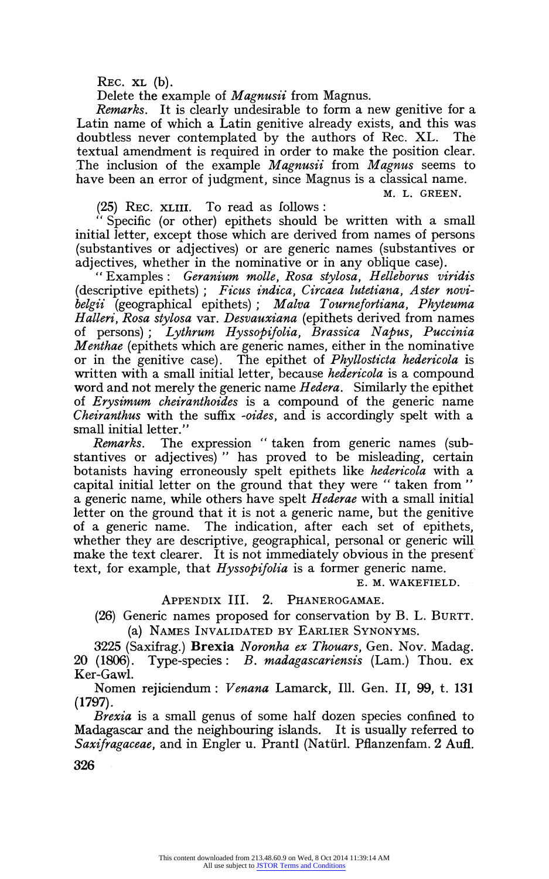**REC. XL (b).** 

**Delete the example of Magnusii from Magnus.** 

**Remarks. It is clearly undesirable to form a new genitive for a Latin name of which a Latin genitive already exists, and this was**  doubtless never contemplated by the authors of Rec. XL. **textual amendment is required in order to make the position clear. The inclusion of the example Magnusii from Magnus seems to have been an error of judgment, since Magnus is a classical name.** 

**M. L. GREEN.** 

**(25) REC. XLIII. To read as follows:** 

Specific (or other) epithets should be written with a small **initial letter, except those which are derived from names of persons (substantives or adjectives) or are generic names (substantives or adjectives, whether in the nominative or in any oblique case).** 

**"Examples: Geranium molle, Rosa stylosa, Helleborus viridis (descriptive epithets) ; Ficus indica, Circaea lutetiana, Aster novibelgii (geographical epithets); Malva Tournefortiana, Phyteuma Halleri, Rosa stylosa var. Desvauxiana (epithets derived from names of persons); Lythrum Hyssopifolia, Brassica Napus, Puccinia Menthae (epithets which are generic names, either in the nominative or in the genitive case). The epithet of Phyllosticta hedericola is written with a small initial letter, because hedericola is a compound word and not merely the generic name Hedera. Similarly the epithet of Erysimum cheiranthoides is a compound of the generic name Cheiranthus with the suffix -oides, and is accordingly spelt with a small initial letter."** 

The expression "taken from generic names (sub**stantives or adjectives) " has proved to be misleading, certain botanists having erroneously spelt epithets like hedericola with a capital initial letter on the ground that they were " taken from " a generic name, while others have spelt Hederae with a small initial letter on the ground that it is not a generic name, but the genitive of a generic name. The indication, after each set of epithets, whether they are descriptive, geographical, personal or generic will make the text clearer. It is not immediately obvious in the presenf text, for example, that Hyssopifolia is a former generic name.** 

**E. M. WAKEFIELD.** 

# **APPENDIX III. 2. PHANEROGAMAE.**

**(26) Generic names proposed for conservation by B. L. BURTT. (a) NAMES INVALIDATED BY EARLIER SYNONYMS.** 

**3225 (Saxifrag.) Brexia Noronha ex Thouars, Gen. Nov. Madag. 20 (1806). Type-species : B. madagascariensis (Lam.) Thou. ex Ker-Gawl.** 

**Nomen rejiciendum: Venana Lamarck, Ill. Gen. II, 99, t. 131 (1797).** 

**Brexia is a small genus of some half dozen species confined to Madagascar and the neighbouring islands. It is usually referred to**  Saxifragaceae, and in Engler u. Prantl (Natürl. Pflanzenfam. 2 Aufl.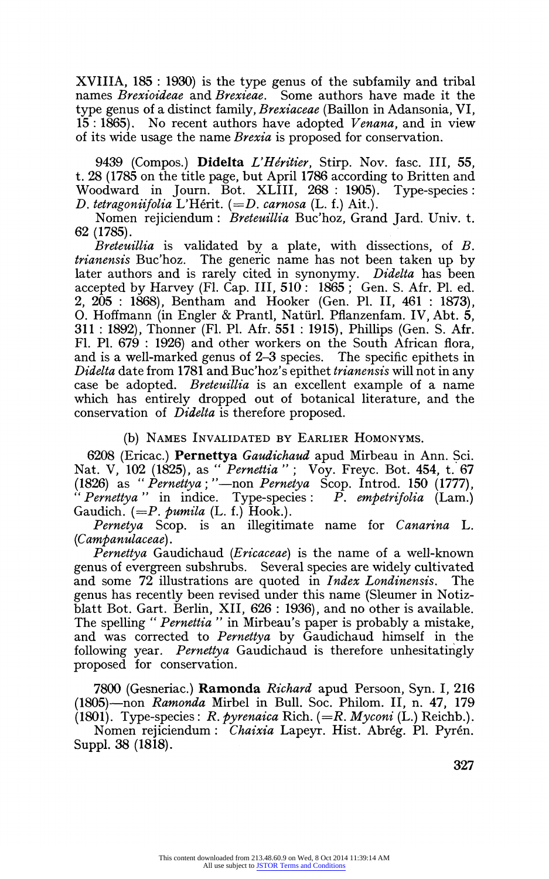**XVIIIA, 185: 1930) is the type genus of the subfamily and tribal**  Some authors have made it the **type genus of a distinct family, Brexiaceae (Baillon in Adansonia, VI, 15:1865). No recent authors have adopted Venana, and in view of its wide usage the name Brexia is proposed for conservation.** 

**9439 (Compos.) Didelta L'He'ritier, Stirp. Nov. fasc. III, 55, t. 28 (1785 on the title page, but April 1786 according to Britten and**  Woodward in Journ. Bot. XLIII, 268 : 1905). **D. tetragoniifolia L'Herit. (=D. carnosa (L. f.) Ait.).** 

**Nomen rejiciendum: Breteuillia Buc'hoz, Grand Jard. Univ. t. 62 (1785).** 

**Breteuillia is validated by a plate, with dissections, of B. trianensis Buc'hoz. The generic name has not been taken up by later authors and is rarely cited in synonymy. Didelta has been accepted by Harvey (Fl. Cap. III, 510: 1865; Gen. S. Afr. P1. ed. 2, 205 : 1868), Bentham and Hooker (Gen. P1. II, 461 : 1873), O. Hoffmann (in Engler & Prantl, Natiirl. Pflanzenfam. IV, Abt. 5, 311: 1892), Thonner (Fl. P1. Afr. 551 : 1915), Phillips (Gen. S. Afr. Fl. P1. 679 : 1926) and other workers on the South African flora,**  and is a well-marked genus of 2-3 species. **Didelta date from 1781 and Buc'hoz's epithet trianensis will not in any case be adopted. Breteuillia is an excellent example of a name which has entirely dropped out of botanical literature, and the conservation of Didelta is therefore proposed.** 

#### **(b) NAMES INVALIDATED BY EARLIER HOMONYMS.**

**6208 (Ericac.) Pernettya Gaudichaud apud Mirbeau in Ann. Sci. Nat. V, 102 (1825), as " Pernettia "; Voy. Freyc. Bot. 454, t. 67 (1826) as " Pernettya ;"-non Pernetya Scop. Introd. 150 (1777), "Pernettya " in indice. Type-species: P. empetrifolia (Lam.) Gaudich. (=P. pumila (L. f.) Hook.).** 

**Pernetya Scop. is an illegitimate name for Canarina L. (Campanulaceae) .** 

**Pernettya Gaudichaud (Ericaceae) is the name of a well-known genus of evergreen subshrubs. Several species are widely cultivated**  and some 72 illustrations are quoted in *Index Londinensis*. **genus has recently been revised under this name (Sleumer in Notizblatt Bot. Gart. Berlin, XII, 626 : 1936), and no other is available. The spelling " Pernettia " in Mirbeau's paper is probably a mistake, and was corrected to Pernettya by Gaudichaud himself in the following year. Pernettya Gaudichaud is therefore unhesitatingly proposed for conservation.** 

**7800 (Gesneriac.) Ramonda Richard apud Persoon, Syn. I, 216 (1805)-non Ramonda Mirbel in Bull. Soc. Philom. II, n. 47, 179 (1801). Type-species: R. pyrenaica Rich. (=R. Myconi (L.) Reichb.).** 

Nomen rejiciendum: Chaixia Lapeyr. Hist. Abrég. Pl. Pyrén. **Suppl. 38 (1818).**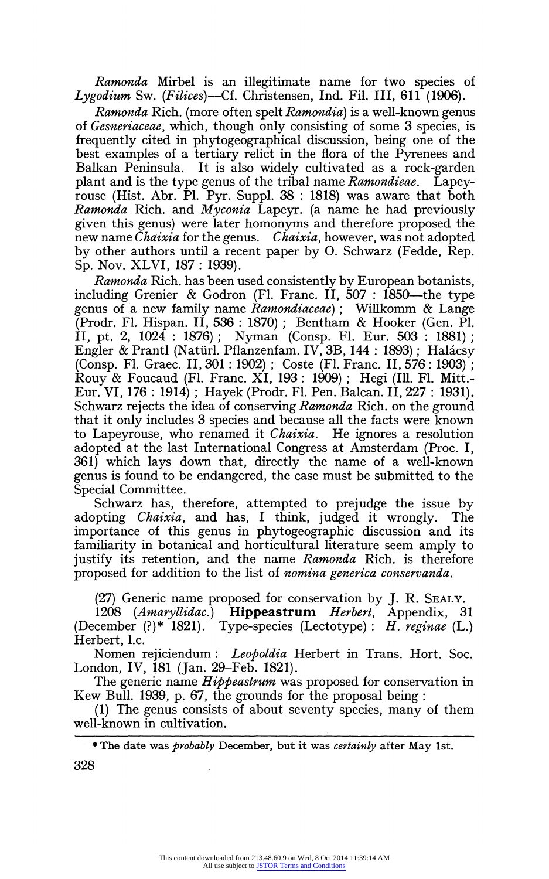**Ramonda Mirbel is an illegitimate name for two species of**  Lygodium Sw. (Filices)—Cf. Christensen, Ind. Fil. III, 611 (1906).

**Ramonda Rich. (more often spelt Ramondia) is a well-known genus of Gesneriaceae, which, though only consisting of some 3 species, is frequently cited in phytogeographical discussion, being one of the best examples of a tertiary relict in the flora of the Pyrenees and Balkan Peninsula. It is also widely cultivated as a rock-garden plant and is the type genus of the tribal name Ramondieae. Lapeyrouse (Hist. Abr. P1. Pyr. Suppl. 38 : 1818) was aware that both Ramonda Rich. and Myconia Lapeyr. (a name he had previously given this genus) were later homonyms and therefore proposed the new name Chaixia for the genus. Chaixia, however, was not adopted by other authors until a recent paper by O. Schwarz (Fedde, Rep. Sp. Nov. XLVI, 187 : 1939).** 

**Ramonda Rich. has been used consistently by European botanists, including Grenier & Godron (Fl. Franc. II, 507 : 1850-the type genus of a new family name Ramondiaceae) ; Willkomm & Lange (Prodr. Fl. Hispan. II, 536 : 1870); Bentham & Hooker (Gen. P1. II, pt. 2, 1024 : 1876) ; Nyman (Consp. Fl. Eur. 503 : 1881) ; Engler & Prantl (Natiirl. Pflanzenfam. IV, 3B, 144 : 1893); Halicsy (Consp. Fl. Graec. II, 301: 1902) ; Coste (Fl. Franc. II, 576: 1903) ; Rouy & Foucaud (Fl. Franc. XI, 193: 1909) ; Hegi (Ill. Fl. Mitt.- Eur. VI, 176 : 1914) ; Hayek (Prodr. Fl. Pen. Balcan. II, 227 : 1931). Schwarz rejects the idea of conserving Ramonda Rich. on the ground that it only includes 3 species and because all the facts were known to Lapeyrouse, who renamed it Chaixia. He ignores a resolution adopted at the last International Congress at Amsterdam (Proc. I, 361) which lays down that, directly the name of a well-known genus is found to be endangered, the case must be submitted to the Special Committee.** 

Schwarz has, therefore, attempted to prejudge the issue by poting *Chaixia*, and has, I think, judged it wrongly. The adopting *Chaixia*, and has, I think, judged it wrongly. **importance of this genus in phytogeographic discussion and its familiarity in botanical and horticultural literature seem amply to justify its retention, and the name Ramonda Rich. is therefore proposed for addition to the list of nomina generica conservanda.** 

**(27) Generic name proposed for conservation by J. R. SEALY.** 

**1208 (Amaryllidac.) Hippeastrum Herbert, Appendix, 31 (December (?)\* 1821). Type-species (Lectotype) : H. reginae (L.) Herbert, l.c.** 

**Nomen rejiciendum: Leopoldia Herbert in Trans. Hort. Soc. London, IV, 181 (Jan. 29-Feb. 1821).** 

**The generic name Hippeastrum was proposed for conservation in Kew Bull. 1939, p. 67, the grounds for the proposal being:** 

**(1) The genus consists of about seventy species, many of them well-known in cultivation.** 

**<sup>\*</sup> The date was probably December, but it was certainly after May 1st.**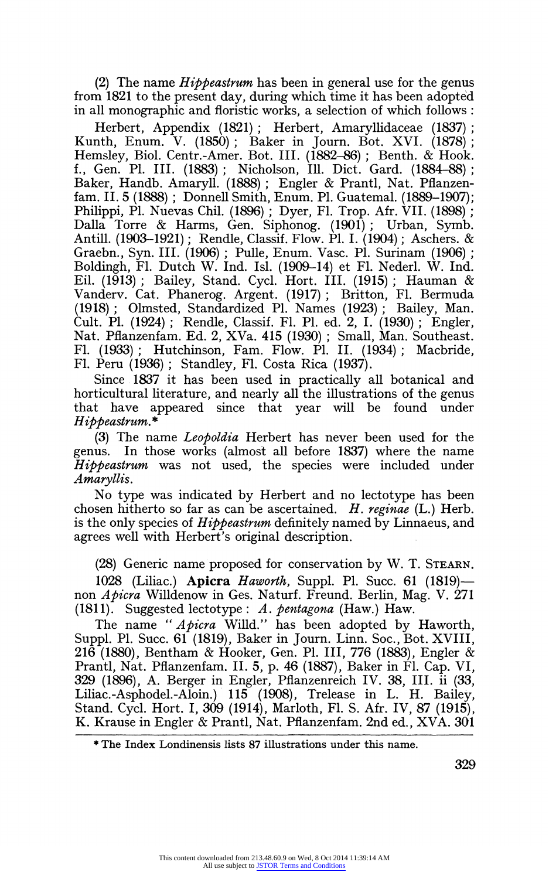**(2) The name Hippeastrum has been in general use for the genus from 1821 to the present day, during which time it has been adopted in all monographic and floristic works, a selection of which follows:** 

**Herbert, Appendix (1821) ; Herbert, Amaryllidaceae (1837); Kunth, Enum. V. (1850); Baker in Journ. Bot. XVI. (1878); Hemsley, Biol. Centr.-Amer. Bot. III. (1882-86) ; Benth. & Hook. f., Gen. P1. III. (1883) ; Nicholson, Ill. Dict. Gard. (1884-88) ; Baker, Handb. Amaryll. (1888); Engler & Prantl, Nat. Pflanzenfam. II. 5 (1888) ; Donnell Smith, Enum. P1. Guatemal. (1889-1907); Philippi, P1. Nuevas Chil. (1896) ; Dyer, Fl. Trop. Afr. VII. (1898) ; Dalla Torre & Harms, Gen. Siphonog. (1901) ; Urban, Symb. Antill. (1903-1921); Rendle, Classif. Flow. P1. I. (1904); Aschers. & Graebn., Syn. III. (1906) ; Pulle, Enum. Vasc. P1. Surinam (1906) ; Boldingh, Fl. Dutch W. Ind. Isl. (1909-14) et Fl. Nederl. W. Ind. Eil. (1913); Bailey, Stand. Cycl. Hort. III. (1915); Hauman & Vanderv. Cat. Phanerog. Argent. (1917) ; Britton, Fl. Bermuda (1918); Olmsted, Standardized P1. Names (1923); Bailey, Man. Cult. P1. (1924) ; Rendle, Classif. Fl. P1. ed. 2, I. (1930) ; Engler, Nat. Pflanzenfam. Ed. 2, XVa. 415 (1930) ; Small, Man. Southeast. Fl. (1933); Hutchinson, Fam. Flow. P1. II. (1934); Macbride, F1. Peru (1936) ; Standley, Fl. Costa Rica (1937).** 

**Since 1837 it has been used in practically all botanical and horticultural literature, and nearly all the illustrations of the genus that have appeared since that year will be found under Hippeastrum.\*** 

**(3) The name Leopoldia Herbert has never been used for the genus. In those works (almost all before 1837) where the name Hippeastrum was not used, the species were included under Amaryllis.** 

**No type was indicated by Herbert and no lectotype has been chosen hitherto so far as can be ascertained. H. reginae (L.) Herb. is the only species of Hippeastrum definitely named by Linnaeus, and agrees well with Herbert's original description.** 

**(28) Generic name proposed for conservation by W. T. STEARN.** 

**1028 (Liliac.) Apicra Haworth, Suppl. P1. Succ. 61 (1819) non Apicra Willdenow in Ges. Naturf. Freund. Berlin, Mag. V. 271 (1811). Suggested lectotype : A. pentagona (Haw.) Haw.** 

**The name " Apicra Willd." has been adopted by Haworth, Suppl. P1. Succ. 61 (1819), Baker in Journ. Linn. Soc., Bot. XVIII, 216 (1880), Bentham & Hooker, Gen. P1. III, 776 (1883), Engler & Prantl, Nat. Pflanzenfam. II. 5, p. 46 (1887), Baker in Fl. Cap. VI, 329 (1896), A. Berger in Engler, Pflanzenreich IV. 38, III. ii (33, Liliac.-Asphodel.-Aloin.) 115 (1908), Trelease in L. H. Bailey, Stand. Cycl. Hort. I, 309 (1914), Marloth, Fl. S. Afr. IV, 87 (1915), K. Krause in Engler & Prantl, Nat. Pflanzenfam. 2nd ed., XVA. 301** 

**<sup>\*</sup> The Index Londinensis lists 87 illustrations under this name.**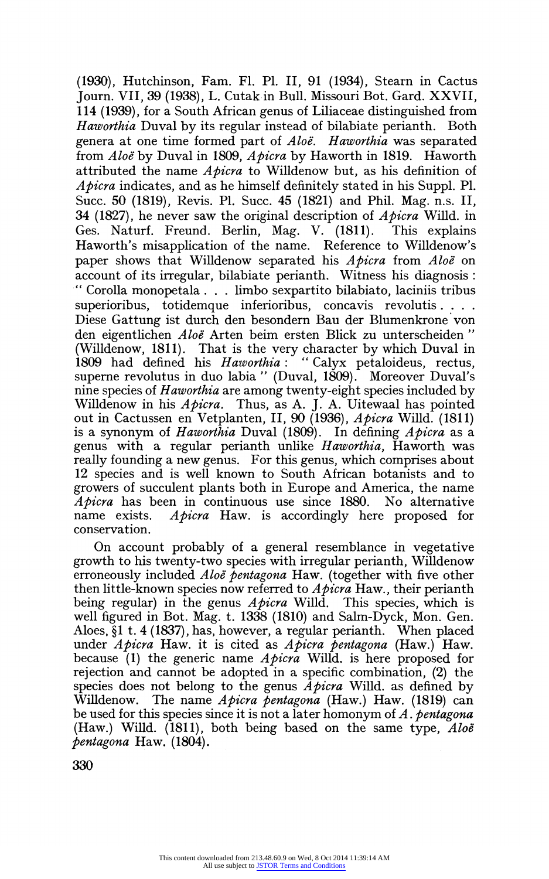**(1930), Hutchinson, Fam. Fl. P1. II, 91 (1934), Stearn in Cactus Journ. VII, 39 (1938), L. Cutak in Bull. Missouri Bot. Gard. XXVII, 114 (1939), for a South African genus of Liliaceae distinguished from Haworthia Duval by its regular instead of bilabiate perianth. Both genera at one time formed part of Aloe'. Haworthia was separated from Aloe by Duval in 1809, Apicra by Haworth in 1819. Haworth attributed the name Apicra to Willdenow but, as his definition of Apicra indicates, and as he himself definitely stated in his Suppl. P1. Succ. 50 (1819), Revis. P1. Succ. 45 (1821) and Phil. Mag. n.s. II, 34 (1827), he never saw the original description of Apicra Willd. in Ges. Naturf. Freund. Berlin, Mag. V. (1811). This explains Haworth's misapplication of the name. Reference to Willdenow's**  paper shows that Willdenow separated his Apicra from Aloë on **account of its irregular, bilabiate perianth. Witness his diagnosis: " Corolla monopetala . . limbo sexpartito bilabiato, laciniis tribus superioribus, totidemque inferioribus, concavis revolutis . . . Diese Gattung ist durch den besondern Bau der Blumenkrone von den eigentlichen Aloe" Arten beim ersten Blick zu unterscheiden " (Willdenow, 1811). That is the very character by which Duval in 1809 had defined his Haworthia: "Calyx petaloideus, rectus, superne revolutus in duo labia " (Duval, 1809). Moreover Duval's nine species of Haworthia are among twenty-eight species included by Willdenow in his Apicra. Thus, as A. J. A. Uitewaal has pointed out in Cactussen en Vetplanten, II, 90 (1936), Apicra Willd. (1811) is a synonym of Haworthia Duval (1809). In defining Apicra as a genus with a regular perianth unlike Haworthia, Haworth was really founding a new genus. For this genus, which comprises about 12 species and is well known to South African botanists and to growers of succulent plants both in Europe and America, the name Apicra has been in continuous use since 1880. No alternative**  Apicra Haw. is accordingly here proposed for **conservation.** 

**On account probably of a general resemblance in vegetative growth to his twenty-two species with irregular perianth, Willdenow**  erroneously included *Aloë pentagona* Haw. (together with five other **then little-known species now referred to Apicra Haw., their perianth being regular) in the genus Apicra Willd. This species, which is well figured in Bot. Mag. t. 1338 (1810) and Salm-Dyck, Mon. Gen. Aloes, ?1 t. 4 (1837), has, however, a regular perianth. When placed under Apicra Haw. it is cited as Apicra pentagona (Haw.) Haw. because (1) the generic name Apicra Willd. is here proposed for rejection and cannot be adopted in a specific combination, (2) the species does not belong to the genus Apicra Willd. as defined by Willdenow. The name Apicra pentagona (Haw.) Haw. (1819) can be used for this species since it is not a later homonym of A. pentagona (Haw.) Willd. (1811), both being based on the same type, Aloe pentagona Haw. (1804).**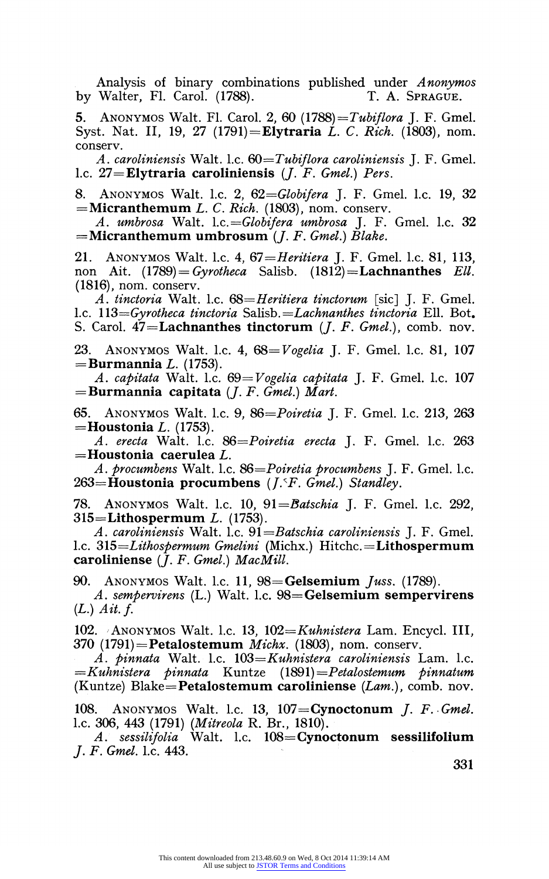Analysis of binary combinations published under *Anonymos* Walter, Fl. Carol. (1788). T. A. SPRAGUE. **by Walter, Fl. Carol. (1788).** 

**5. ANONYMOS Walt. Fl. Carol. 2, 60 (1788) =Tubiflora J. F. Gmel. Syst. Nat. II, 19, 27 (1791)=Elytraria L. C. Rich. (1803), nom. conserv.** 

**A. caroliniensis Walt. l.c. 60=Tubiflora caroliniensis J. F. Gmel. 1.c. 27=Elytraria caroliniensis (J. F. Gmel.) Pers.** 

**8. ANONYMOS Walt. I.c. 2, 62=Globifera J. F. Gmel. I.c. 19, 32 =Micranthemum L. C. Rich. (1803), nom. conserv.** 

**A. umbrosa Walt. l.c.=Globifera umbrosa J. F. Gmel. l.c. 32 =Micranthemum umbrosum (J. F. Gmel.) Blake.** 

**21. ANONYMOS Walt. 1.c. 4, 67=Heritiera J. F. Gmel. l.c. 81, 113, non Ait.** (1789)= *Gyrotheca* Salisb. (1812)= **Lachnanthes** *Ell*. **(1816)**. nom. conserv. **(1816), nom. conserv.** 

**A. tinctoria Walt. l.c. 68=Heritiera tinctorum [sic] J. F. Gmel. 1.c. 113=Gyrotheca tinctoria Salisb. =Lachnanthes tinctoria Ell. Bot. S. Carol. 47= Lachnanthes tinctorum (J. F. Gmel.), comb. nov.** 

**23. ANONYMOS Walt. l.c. 4, 68=Vogelia J. F. Gmel. l.c. 81, 107 =Burmannia L. (1753).** 

**A. capitata Walt. l.c. 69= Vogelia capitata J. F. Gmel. l.c. 107 =Burmannia capitata (J. F. Gmel.) Mart.** 

**65. ANONYMOS Walt. 1.c. 9, 86=Poiretia J. F. Gmel. l.c. 213, 263 =Houstonia L. (1753).** 

**A. erecta Walt. l.c. 86=Poiretia erecta J. F. Gmel. l.c. 263 = Houstonia caerulea L.** 

**A. procumbens Walt. l.c. 86==Poiretia procumbens J. F. Gmel. l.c. 263=Houstonia procumbens (J.'F. Gmel.) Standley.** 

**78. ANONYMOS Walt. 1.c. 10, 91=Batschia J. F. Gmel. l.c. 292, 315= Lithospermum L. (1753).** 

**A. caroliniensis Walt. l.c. 91=Batschia caroliniensis J. F. Gmel. l.c. 315 =Lithospermum Gmelini (Michx.) Hitchc. =Lithospermum caroliniense (J. F. Gmel.) MacMill.** 

**90. ANONYMOS Walt. 1.c. 11, 98=Gelsemium Juss. (1789). A. sempervirens (L.) Walt. l.c. 98=Gelsemium sempervirens (L.) Ait. f.** 

**102. ANONYMOS Walt. l.c. 13, 102**=*Kuhnistera Lam. Encycl. III,* **370 (1791) Petalostemum Michx. (1803), nom. conserv.** 

 $Kuhnistera$  pinnata Kuntze (1891) = Petalostemum pinnatum **(Kuntze) Blake= Petalostemum caroliniense (Lam.), comb. nov.** 

**108.** *ANONYMOS Walt. 1.c. 13, 107=Cynoctonum J. F. Gmel.* **<b>***COMPLEMENT* **1.c. 306, 443 (1791) (Mitreola R. Br., 1810). 108.** 

**A. sessilifolia Walt. l.c. 108=Cynoctonum sessilifolium J. F. Gmel. 1.c. 443.**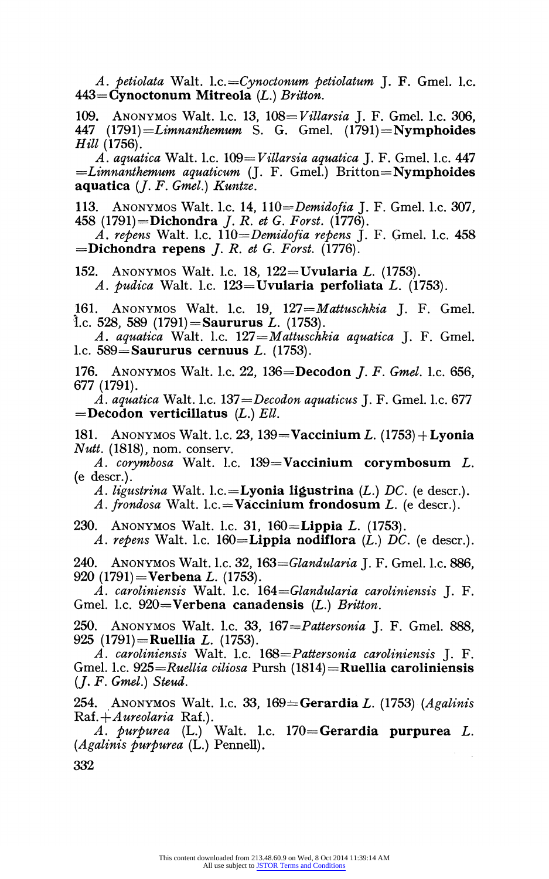**A. petiolata Walt. 1.c.=Cynoctonum petiolatum J. F. Gmel. 1.c. 443=Cynoctonum Mitreola (L.) Britton.** 

**109. ANONYMOS Walt. 1.c. 13, 108= Villarsia J. F. Gmel. l.c. 306, 447 (1791) =Limnanthemum S. G. Gmel. (1791)= Nymphoides Hill (1756).** 

**A. aquatica Walt. I.c. 109= Villarsia aquatica J. F. Gmel. l.c. 447**  =Limnanthemum aquaticum (J. F. Gmel.) Britton=Nymphoides **aquatica (J. F. Gmel.) Kuntze.** 

**113. ANONYMOS Walt. 1.c. 14, 110=Demidofia J. F. Gmel. 1.c. 307, 458 (1791)= Dichondra J. R. et G. Forst. (1776).** 

**A. repens Walt. I.c. 110=Demidofia repens J. F. Gmel. i.c. 458 =Dichondra repens J. R. et G. Forst. (1776).** 

**152. ANONYMOS Walt. 1.c. 18, 122=Uvularia** *L***. (1753).<br>***A. budica* **Walt. 1.c. 123=<b>Uvularia perfoliata** *L.* **(17 A. pudica Walt. l.c. 123=Uvularia perfoliata L. (1753).** 

**161.** ANONYMOS Walt. 1.c. 19, 127=Mattuschkia J. F. Gmel. <br>1.c. 528, 589 (1791)=Saururus L. (1753).

**A. aquatica Walt. l.c. 127=Mattuschkia aquatica J. F. Gmel. 1.c. 589=Saururus cernuus L. (1753).** 

**176. ANONYMOS Walt. 1.c. 22, 136=Decodon J. F. Gmel. I.c. 656, 677 (1791).** 

**A. aquatica Walt. 1.c. 137-=Decodon aquaticus J. F. Gmel. 1.c. 677 =Decodon verticillatus (L.) Ell.** 

**181. ANONYMOS Walt. 1.c. 23, 139=Vaccinium L. (1753)+ Lyonia Nutt. (1818), nom. conserv.** 

A. corymbosa Walt. l.c. 139=Vaccinium corymbosum L. **(e descr.).** 

A. ligustrina Walt. 1.c.=Lyonia ligustrina (L.) DC. (e descr.). A. frondosa Walt. l.c.=**Vaccinium frondosum L.** (e descr.).

**230. ANONYMOS Walt. I.c. 31, 160=Lippia L. (1753). A. repens Walt. l.c. 160=Lippia nodiflora (L.) DC. (e descr.).** 

**240. ANONYMOS Walt. 1.c. 32, 163-=Glandularia J. F. Gmel. l.c. 886, 920 (1791)= Verbena L. (1753).** 

A. caroliniensis Walt. *I.c.* 164=Glandularia caroliniensis J. F. **Gmel. I.c. 920=Verbena canadensis (L.) Britton.** 

**250. ANONYMOS Walt. 1.c. 33, 167=Pattersonia J. F. Gmel. 888, 925 (1791)=Ruellia L. (1753).** 

**A. caroliniensis Walt. 1.c. 168=Pattersonia caroliniensis J. F.**  Gmel. 1.c. 925=Ruellia ciliosa Pursh (1814)=**Ruellia caroliniensis (J. F. Gmel.) Steud.** 

**254. ANONYMOS Walt. 1.c. 33, 169= Gerardia L. (1753) (Agalinis Raf.+A ureolaria Raf.).** 

**A. purpurea (L.) Walt. i.c. 170= Gerardia purpurea L. (Agalinis purpurea (L.) Pennell).**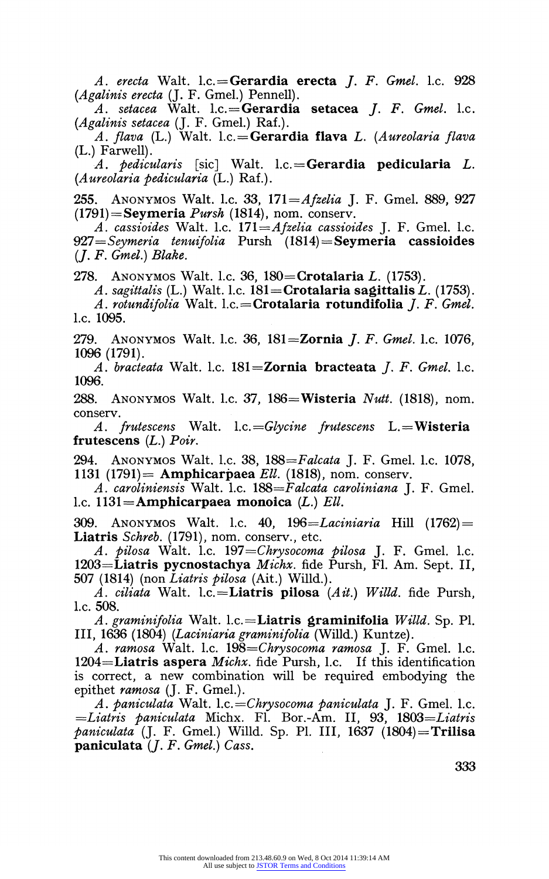**A. erecta Walt. l.c.= Gerardia erecta J. F. Gmel. 1.c. 928 (Agalinis erecta (J. F. Gmel.) Pennell).** 

**A. setacea Walt. l.c.=Gerardia setacea J. F. Gmel. l.c. (Agalinis setacea (J. F. Gmel.) Raf.).** 

**A. flava (L.) Walt. l.c.=Gerardia flava L. (Aureolaria flava (L.) Farwell).** 

**A. pedicularis [sic] Walt. l.c.= Gerardia pedicularia L. (Aureolaria pedicularia (L.) Raf.).** 

**255. ANONYMOS Walt. 1.c. 33, 171-Afzelia J. F. Gmel. 889, 927 (1791)= Seymeria Pursh (1814), nom. conserv.** 

A. cassioides Walt. 1.c. 171*=Afzelia cassioides* J. F. Gmel. 1.c.<br>*=Sevmeria tenuifolia Pursh (1814)=Sevmeria cassioides* **927=Seymeria tenuifolia Pursh (1814) = Seymeria cassioides (J. F. Gmel.) Blake.** 

**278. ANONYMOS Walt. l.c. 36, 180=Crotalaria L. (1753).** 

**A. sagittalis (L.) Walt. 1.c. 181 =Crotalaria sagittalis L. (1753).** 

**A. rotundifolia Walt. l.c.= Crotalaria rotundifolia J. F. Gmel. 1.c. 1095.** 

**279. ANONYMOS Walt. 1.c. 36, J. F. Gmel. 1.c. 1076, 1096 (1791).** 

*A. bracteata* Walt. l.c. 181=**Zornia bracteata** *J. F. Gmel.* l.c. 1096.

**288. ANONYMOS Walt. l.c. 37, 186=Wisteria Nutt. (1818), nom. conserv.** 

**A. frutescens Walt. l.c.=Glycine frutescens L.=Wisteria frutescens (L.) Poir.** 

**294. ANONYMOS Walt. 1.c. 38, 188=Falcata J. F. Gmel. l.c. 1078, 1131 (1791)= Amphicarpaea Ell. (1818), nom. conserv.** 

**A. caroliniensis Walt. l.c. 188=Falcata caroliniana J. F. Gmel. 1.c.** 1131 = **Amphicarpaea monoica** (*L.*) *Ell.* 

**1131-114** 309. ANONYMOS Walt. l.c. 40, 196*=Laciniaria* Hill (1762)=<br>Liatris *Schreb.* (1791). nom. conserv.. etc. **Liatris Schreb. (1791), nom. conserv., etc.** 

A. pilosa Walt. l.c. 197=Chrysocoma pilosa J. F. Gmel. l.c. **1203=Liatris pycnostachya Michx. fide Pursh, Fl. Am. Sept. II, 507 (1814) (non Liatris pilosa (Ait.) Willd.).** 

**A. ciliata Walt. l.c.-=Liatris pilosa (Ait.) Willd. fide Pursh, l.c. 508.** 

*A. graminifolia* Walt. l.c.=**Liatris graminifolia** *Willd.* Sp. Pl. <br>1636 (1804) (Laciniaria graminifolia (Willd.) Kuntze). **III, 1636 (1804) (Laciniaria graminifolia (Willd.) Kuntze).** 

A. ramosa Walt. l.c. 198=Chrysocoma ramosa J. F. Gmel. l.c. **1204=Liatris aspera** *Michx***. fide Pursh, 1.c. If this identification is correct, a new combination will be required embodying the epithet ramosa (J. F. Gmel.).** 

**A. paniculata Walt. 1.c.=Chrysocoma paniculata J. F. Gmel. l.c.**   $=Li$ atris paniculata Michx. Fl. Bor.-Am. II, 93, 1803=Liatris paniculata (J. F. Gmel.) Willd. Sp. Pl. III, 1637 (1804)=**Trilisa paniculata (J. F. Gmel.) Cass.**